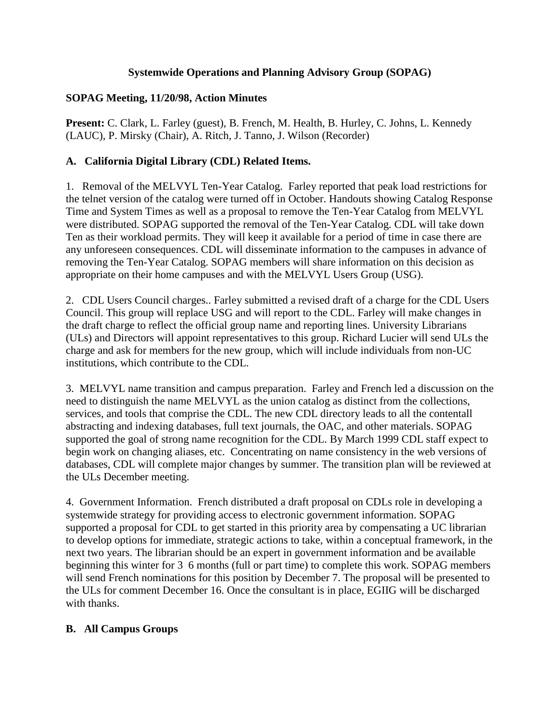## **Systemwide Operations and Planning Advisory Group (SOPAG)**

## **SOPAG Meeting, 11/20/98, Action Minutes**

**Present:** C. Clark, L. Farley (guest), B. French, M. Health, B. Hurley, C. Johns, L. Kennedy (LAUC), P. Mirsky (Chair), A. Ritch, J. Tanno, J. Wilson (Recorder)

## **A. California Digital Library (CDL) Related Items.**

1. Removal of the MELVYL Ten-Year Catalog. Farley reported that peak load restrictions for the telnet version of the catalog were turned off in October. Handouts showing Catalog Response Time and System Times as well as a proposal to remove the Ten-Year Catalog from MELVYL were distributed. SOPAG supported the removal of the Ten-Year Catalog. CDL will take down Ten as their workload permits. They will keep it available for a period of time in case there are any unforeseen consequences. CDL will disseminate information to the campuses in advance of removing the Ten-Year Catalog. SOPAG members will share information on this decision as appropriate on their home campuses and with the MELVYL Users Group (USG).

2. CDL Users Council charges.. Farley submitted a revised draft of a charge for the CDL Users Council. This group will replace USG and will report to the CDL. Farley will make changes in the draft charge to reflect the official group name and reporting lines. University Librarians (ULs) and Directors will appoint representatives to this group. Richard Lucier will send ULs the charge and ask for members for the new group, which will include individuals from non-UC institutions, which contribute to the CDL.

3. MELVYL name transition and campus preparation. Farley and French led a discussion on the need to distinguish the name MELVYL as the union catalog as distinct from the collections, services, and tools that comprise the CDL. The new CDL directory leads to all the contentall abstracting and indexing databases, full text journals, the OAC, and other materials. SOPAG supported the goal of strong name recognition for the CDL. By March 1999 CDL staff expect to begin work on changing aliases, etc. Concentrating on name consistency in the web versions of databases, CDL will complete major changes by summer. The transition plan will be reviewed at the ULs December meeting.

4. Government Information. French distributed a draft proposal on CDLs role in developing a systemwide strategy for providing access to electronic government information. SOPAG supported a proposal for CDL to get started in this priority area by compensating a UC librarian to develop options for immediate, strategic actions to take, within a conceptual framework, in the next two years. The librarian should be an expert in government information and be available beginning this winter for 3 6 months (full or part time) to complete this work. SOPAG members will send French nominations for this position by December 7. The proposal will be presented to the ULs for comment December 16. Once the consultant is in place, EGIIG will be discharged with thanks.

## **B. All Campus Groups**